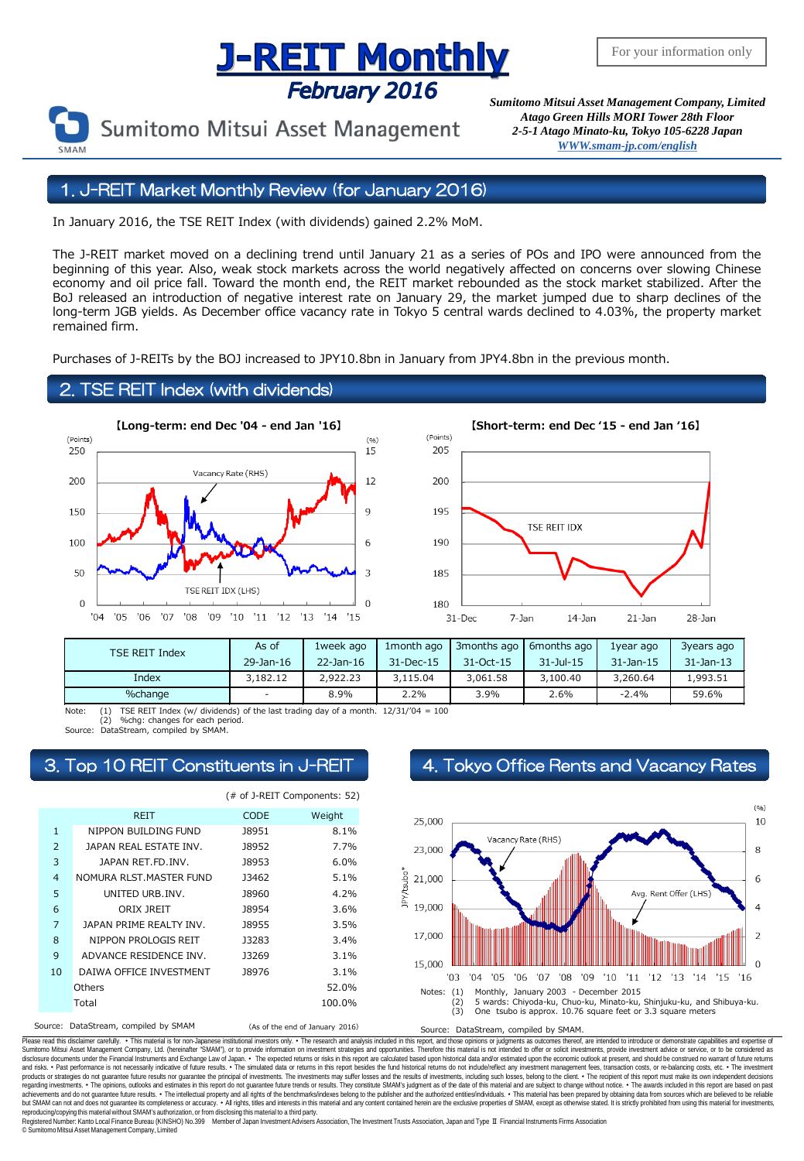## <u>J-REIT Monthly</u> February 2016

Sumitomo Mitsui Asset Management

*Sumitomo Mitsui Asset Management Company, Limited Atago Green Hills MORI Tower 28th Floor 2-5-1 Atago Minato-ku, Tokyo 105-6228 Japa[n](mailto:English@smam-jp.com) [WWW.smam-jp.com/english](http://www.smam-jp.com/english)*

### 1. J-REIT Market Monthly Review (for January 2016)

In January 2016, the TSE REIT Index (with dividends) gained 2.2% MoM.

The J-REIT market moved on a declining trend until January 21 as a series of POs and IPO were announced from the beginning of this year. Also, weak stock markets across the world negatively affected on concerns over slowing Chinese economy and oil price fall. Toward the month end, the REIT market rebounded as the stock market stabilized. After the BoJ released an introduction of negative interest rate on January 29, the market jumped due to sharp declines of the long-term JGB yields. As December office vacancy rate in Tokyo 5 central wards declined to 4.03%, the property market remained firm.

Purchases of J-REITs by the BOJ increased to JPY10.8bn in January from JPY4.8bn in the previous month.

### 2. TSE REIT Index (with dividends)





| <b>TSE REIT Index</b> | As of     | 1week ago       | 1 month ago | 3months ago     | 6months ago    | 1year ago       | 3years ago      |
|-----------------------|-----------|-----------------|-------------|-----------------|----------------|-----------------|-----------------|
|                       | 29-Jan-16 | $22 - Jan - 16$ | 31-Dec-15   | $31 - Oct - 15$ | $31 - 11 - 15$ | $31 - Jan - 15$ | $31 - Jan - 13$ |
| Index                 | 3,182.12  | 2,922,23        | 3,115.04    | 3,061.58        | 3,100.40       | 3,260.64        | 1,993.51        |
| %change               | $\sim$    | 8.9%            | 2.2%        | 3.9%            | 2.6%           | $-2.4%$         | 59.6%           |

(1) TSE REIT Index (w/ dividends) of the last trading day of a month.  $12/31/04 = 100$ <br>(2) %chg: changes for each period. %chg: changes for each period.

Source: DataStream, compiled by SMAM.

|                |                          | (# of J-REIT Components: 52) |        |  |  |
|----------------|--------------------------|------------------------------|--------|--|--|
|                | <b>REIT</b>              | <b>CODE</b>                  | Weight |  |  |
| $\mathbf{1}$   | NIPPON BUILDING FUND     | <b>J8951</b>                 | 8.1%   |  |  |
| $\overline{2}$ | JAPAN REAL ESTATE INV.   | <b>J8952</b>                 | 7.7%   |  |  |
| 3              | JAPAN RET.FD. INV.       | <b>J8953</b>                 | 6.0%   |  |  |
| $\overline{4}$ | NOMURA RLST. MASTER FUND | 13462                        | 5.1%   |  |  |
| 5              | UNITED URB.INV.          | <b>J8960</b>                 | 4.2%   |  |  |
| 6              | ORIX JREIT               | <b>J8954</b>                 | 3.6%   |  |  |
| $\overline{7}$ | JAPAN PRIME REALTY INV.  | <b>J8955</b>                 | 3.5%   |  |  |
| 8              | NIPPON PROLOGIS REIT     | 13283                        | 3.4%   |  |  |
| 9              | ADVANCE RESIDENCE INV.   | <b>J3269</b>                 | 3.1%   |  |  |
| 10             | DAIWA OFFICE INVESTMENT  | 18976                        | 3.1%   |  |  |
|                | Others                   |                              | 52.0%  |  |  |
|                | Total                    |                              | 100.0% |  |  |
| _ _ _          |                          |                              |        |  |  |

## 3. Top 10 REIT Constituents in J-REIT 4. Tokyo Office Rents and Vacancy Rates



Source: DataStream, compiled by SMAM (As of the end of January 2016) Source: DataStream, compiled by SMAM

Please read this disclaimer carefuly. • This material is for non-Japanese institutional investors only. • The research and analysis included in this report, and those opinions or judgments as outcomes thereof, are intended disclosure documents under the Financial Instruments and Exchange Law of Japan. • The expected relums or risks in this report are calculated based upon historial data and/or estimated upon the economic outlook at present, products or strategies do not guarantee future results nor guarantee the principal of investments. The investments may suffer losses and the results of investments, including such losses, belong to the client. . The recipi regarding investments. • The opinions, outlooks and estimates in this report do not guarantee future trends or results. They constitute SMAM's judgment as of the date of this material and are subject to change without noti reproducing/copying this material without SMAM's authorization, or from disclosing thismaterial to a third party.

egistered Number: Kanto Local Finance Bureau (KINSHO) No.399 Member of Japan Investment Advisers Association, The Investment Trusts Association, Japan and Type Ⅱ Financial Instruments Firms Association © SumitomoMitsui Asset Management Company, Limited